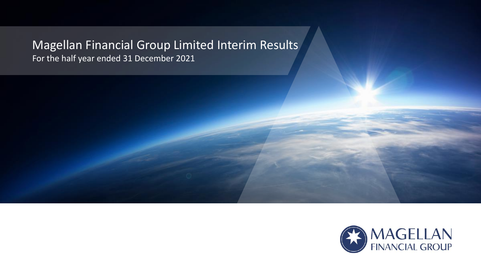### Magellan Financial Group Limited Interim Results For the half year ended 31 December 2021

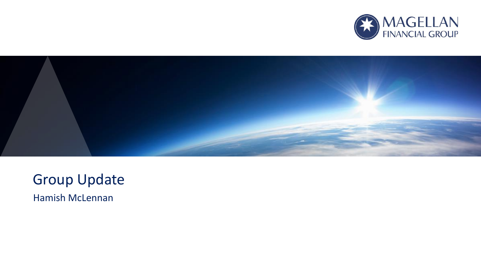



### Group Update

Hamish McLennan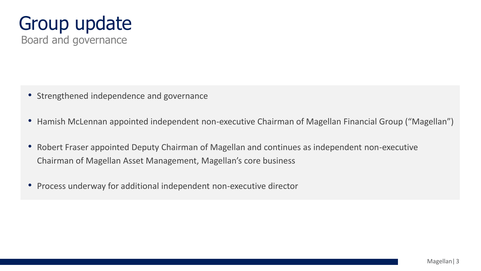

- Strengthened independence and governance
- Hamish McLennan appointed independent non-executive Chairman of Magellan Financial Group ("Magellan")
- Robert Fraser appointed Deputy Chairman of Magellan and continues as independent non-executive Chairman of Magellan Asset Management, Magellan's core business
- Process underway for additional independent non-executive director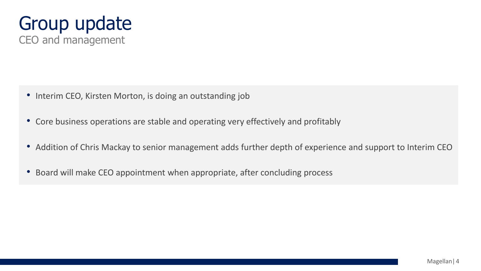

- Interim CEO, Kirsten Morton, is doing an outstanding job
- Core business operations are stable and operating very effectively and profitably
- Addition of Chris Mackay to senior management adds further depth of experience and support to Interim CEO
- Board will make CEO appointment when appropriate, after concluding process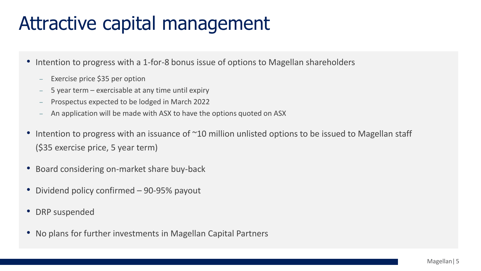## Attractive capital management

- Intention to progress with a 1-for-8 bonus issue of options to Magellan shareholders
	- Exercise price \$35 per option
	- 5 year term exercisable at any time until expiry
	- Prospectus expected to be lodged in March 2022
	- An application will be made with ASX to have the options quoted on ASX
- Intention to progress with an issuance of ~10 million unlisted options to be issued to Magellan staff (\$35 exercise price, 5 year term)
- Board considering on-market share buy-back
- Dividend policy confirmed 90-95% payout
- DRP suspended
- No plans for further investments in Magellan Capital Partners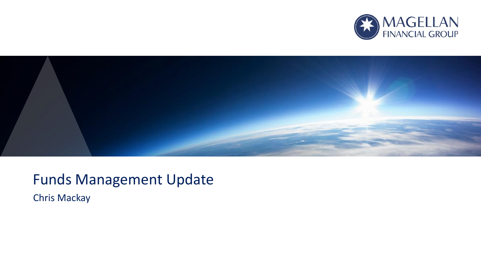



### Funds Management Update

Chris Mackay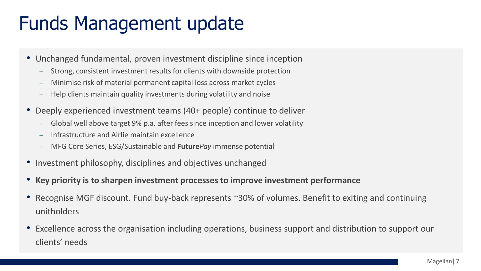## Funds Management update

- Unchanged fundamental, proven investment discipline since inception
	- Strong, consistent investment results for clients with downside protection
	- Minimise risk of material permanent capital loss across market cycles
	- Help clients maintain quality investments during volatility and noise
- Deeply experienced investment teams (40+ people) continue to deliver
	- Global well above target 9% p.a. after fees since inception and lower volatility
	- Infrastructure and Airlie maintain excellence
	- MFG Core Series, ESG/Sustainable and **Future***Pay* immense potential
- Investment philosophy, disciplines and objectives unchanged
- **Key priority is to sharpen investment processes to improve investment performance**
- Recognise MGF discount. Fund buy-back represents ~30% of volumes. Benefit to exiting and continuing unitholders
- Excellence across the organisation including operations, business support and distribution to support our clients' needs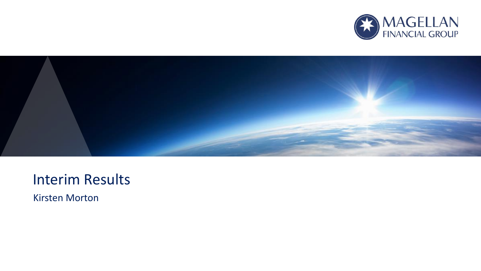



### Interim Results

Kirsten Morton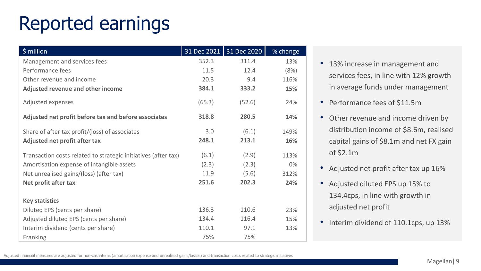## Reported earnings

| \$ million                                                     | 31 Dec 2021 | 31 Dec 2020 | % change |
|----------------------------------------------------------------|-------------|-------------|----------|
| Management and services fees                                   | 352.3       | 311.4       | 13%      |
| Performance fees                                               | 11.5        | 12.4        | (8%)     |
| Other revenue and income                                       | 20.3        | 9.4         | 116%     |
| Adjusted revenue and other income                              | 384.1       | 333.2       | 15%      |
| Adjusted expenses                                              | (65.3)      | (52.6)      | 24%      |
| Adjusted net profit before tax and before associates           | 318.8       | 280.5       | 14%      |
| Share of after tax profit/(loss) of associates                 | 3.0         | (6.1)       | 149%     |
| Adjusted net profit after tax                                  | 248.1       | 213.1       | 16%      |
| Transaction costs related to strategic initiatives (after tax) | (6.1)       | (2.9)       | 113%     |
| Amortisation expense of intangible assets                      | (2.3)       | (2.3)       | $0\%$    |
| Net unrealised gains/(loss) (after tax)                        | 11.9        | (5.6)       | 312%     |
| Net profit after tax                                           | 251.6       | 202.3       | 24%      |
| <b>Key statistics</b>                                          |             |             |          |
| Diluted EPS (cents per share)                                  | 136.3       | 110.6       | 23%      |
| Adjusted diluted EPS (cents per share)                         | 134.4       | 116.4       | 15%      |
| Interim dividend (cents per share)                             | 110.1       | 97.1        | 13%      |
| Franking                                                       | 75%         | 75%         |          |

- 13% increase in management and services fees, in line with 12% growth in average funds under management
- Performance fees of \$11.5m
- Other revenue and income driven by distribution income of \$8.6m, realised capital gains of \$8.1m and net FX gain of \$2.1m
- Adjusted net profit after tax up 16%
- Adjusted diluted EPS up 15% to 134.4cps, in line with growth in adjusted net profit
- Interim dividend of 110.1cps, up 13%

Adjusted financial measures are adjusted for non-cash items (amortisation expense and unrealised gains/losses) and transaction costs related to strategic initiatives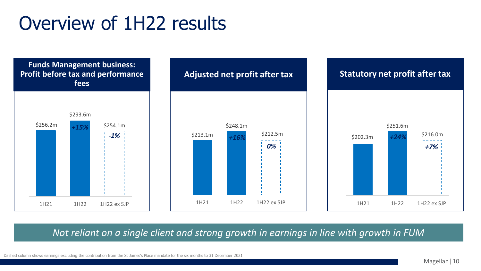### Overview of 1H22 results



*Not reliant on a single client and strong growth in earnings in line with growth in FUM*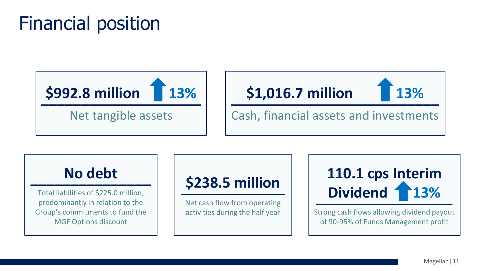## Financial position





### **No debt \_\_\_\_\_\_\_\_\_\_\_\_\_\_\_**

Total liabilities of \$225.0 million, predominantly in relation to the Group's commitments to fund the MGF Options discount

### **\$238.5 million \_\_\_\_\_\_\_\_\_\_\_\_\_**

Net cash flow from operating activities during the half year



Strong cash flows allowing dividend payout of 90-95% of Funds Management profit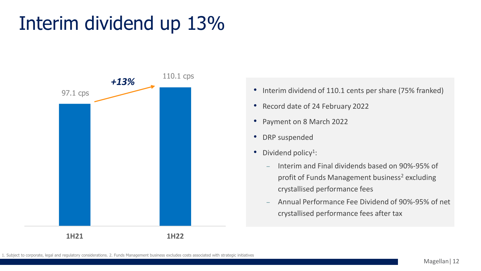## Interim dividend up 13%



- Interim dividend of 110.1 cents per share (75% franked)
- Record date of 24 February 2022
- Payment on 8 March 2022
- DRP suspended
- $\bullet$  Dividend policy<sup>1</sup>:
	- Interim and Final dividends based on 90%-95% of profit of Funds Management business<sup>2</sup> excluding crystallised performance fees
	- Annual Performance Fee Dividend of 90%-95% of net crystallised performance fees after tax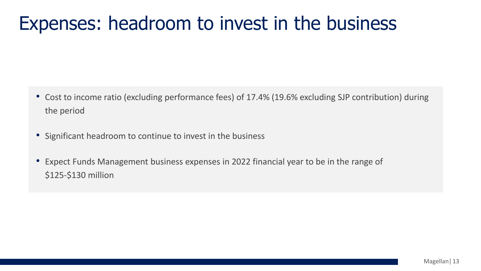### Expenses: headroom to invest in the business

- Cost to income ratio (excluding performance fees) of 17.4% (19.6% excluding SJP contribution) during the period
- Significant headroom to continue to invest in the business
- Expect Funds Management business expenses in 2022 financial year to be in the range of \$125-\$130 million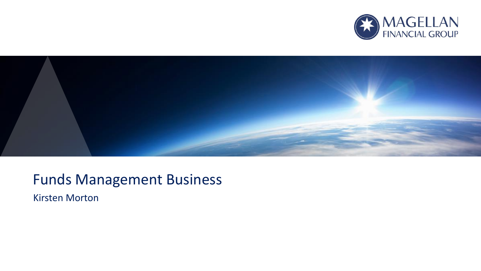



### Funds Management Business

Kirsten Morton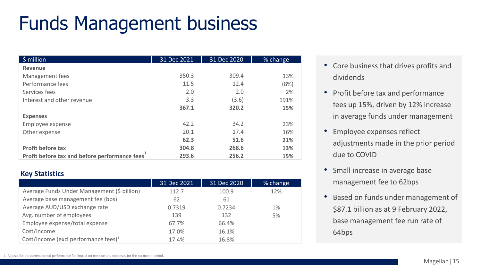# Funds Management business

| $$$ million                                                | 31 Dec 2021 | 31 Dec 2020 | % change |
|------------------------------------------------------------|-------------|-------------|----------|
| Revenue                                                    |             |             |          |
| Management fees                                            | 350.3       | 309.4       | 13%      |
| Performance fees                                           | 11.5        | 12.4        | (8%)     |
| Services fees                                              | 2.0         | 2.0         | 2%       |
| Interest and other revenue                                 | 3.3         | (3.6)       | 191%     |
|                                                            | 367.1       | 320.2       | 15%      |
| <b>Expenses</b>                                            |             |             |          |
| Employee expense                                           | 42.2        | 34.2        | 23%      |
| Other expense                                              | 20.1        | 17.4        | 16%      |
|                                                            | 62.3        | 51.6        | 21%      |
| Profit before tax                                          | 304.8       | 268.6       | 13%      |
| Profit before tax and before performance fees <sup>1</sup> | 293.6       | 256.2       | 15%      |

#### **Key Statistics**

|                                             | 31 Dec 2021 | 31 Dec 2020 | % change |
|---------------------------------------------|-------------|-------------|----------|
| Average Funds Under Management (\$ billion) | 112.7       | 100.9       | 12%      |
| Average base management fee (bps)           | 62          | 61          |          |
| Average AUD/USD exchange rate               | 0.7319      | 0.7234      | 1%       |
| Avg. number of employees                    | 139         | 132         | 5%       |
| Employee expense/total expense              | 67.7%       | 66.4%       |          |
| Cost/Income                                 | 17.0%       | 16.1%       |          |
| Cost/Income (excl performance fees) $1$     | 17.4%       | 16.8%       |          |

- Core business that drives profits and dividends
- Profit before tax and performance fees up 15%, driven by 12% increase in average funds under management
- Employee expenses reflect adjustments made in the prior period due to COVID
- Small increase in average base management fee to 62bps
- Based on funds under management of \$87.1 billion as at 9 February 2022, base management fee run rate of 64bps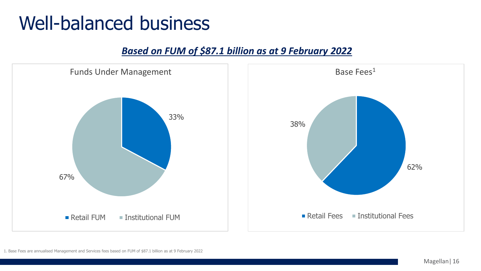### Well-balanced business

#### *Based on FUM of \$87.1 billion as at 9 February 2022*

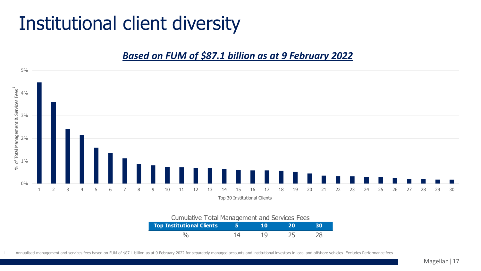## Institutional client diversity

#### *Based on FUM of \$87.1 billion as at 9 February 2022*



| <b>Cumulative Total Management and Services Fees</b> |    |    |    |    |
|------------------------------------------------------|----|----|----|----|
| <b>Top Institutional Clients</b>                     |    | 10 | 20 | зо |
|                                                      | 14 | 19 |    |    |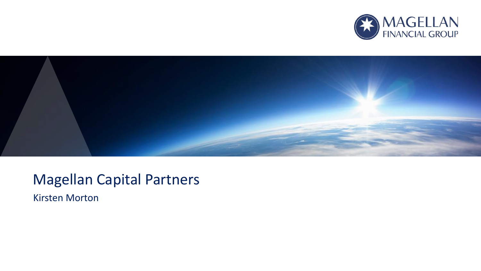



### Magellan Capital Partners

Kirsten Morton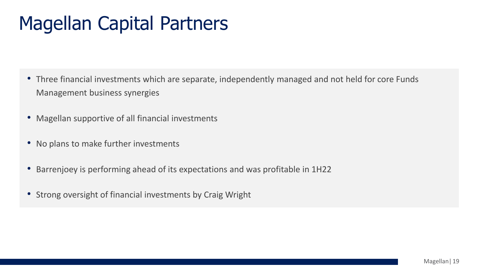## Magellan Capital Partners

- Three financial investments which are separate, independently managed and not held for core Funds Management business synergies
- Magellan supportive of all financial investments
- No plans to make further investments
- Barrenjoey is performing ahead of its expectations and was profitable in 1H22
- Strong oversight of financial investments by Craig Wright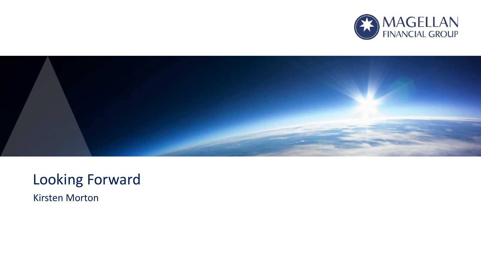



### Looking Forward

Kirsten Morton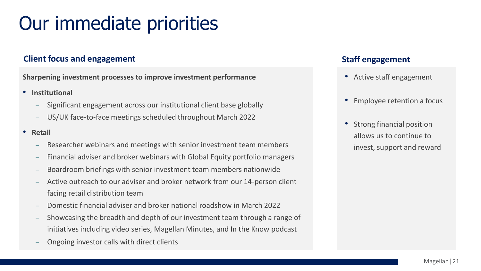## Our immediate priorities

#### **Client focus and engagement Staff engagement Staff engagement**

**Sharpening investment processes to improve investment performance**

- **Institutional**
	- Significant engagement across our institutional client base globally
	- US/UK face-to-face meetings scheduled throughout March 2022
- **Retail**
	- Researcher webinars and meetings with senior investment team members
	- Financial adviser and broker webinars with Global Equity portfolio managers
	- Boardroom briefings with senior investment team members nationwide
	- Active outreach to our adviser and broker network from our 14-person client facing retail distribution team
	- Domestic financial adviser and broker national roadshow in March 2022
	- Showcasing the breadth and depth of our investment team through a range of initiatives including video series, Magellan Minutes, and In the Know podcast
	- Ongoing investor calls with direct clients

- Active staff engagement
- Employee retention a focus
- Strong financial position allows us to continue to invest, support and reward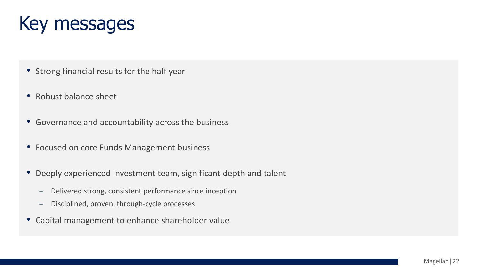### Key messages

- Strong financial results for the half year
- Robust balance sheet
- Governance and accountability across the business
- Focused on core Funds Management business
- Deeply experienced investment team, significant depth and talent
	- Delivered strong, consistent performance since inception
	- Disciplined, proven, through-cycle processes
- Capital management to enhance shareholder value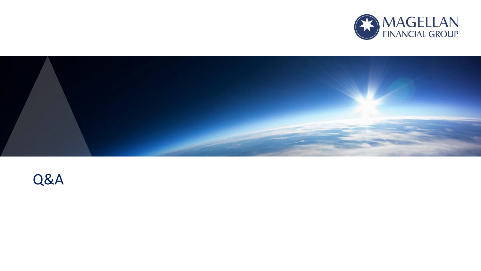



### Q&A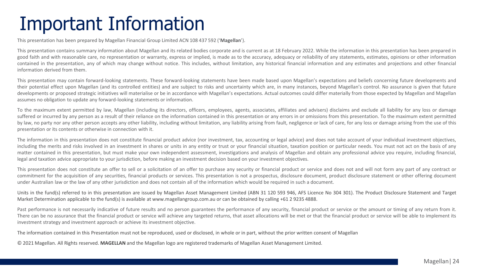## Important Information

This presentation has been prepared by Magellan Financial Group Limited ACN 108 437 592 ('**Magellan**').

This presentation contains summary information about Magellan and its related bodies corporate and is current as at 18 February 2022. While the information in this presentation has been prepared in good faith and with reasonable care, no representation or warranty, express or implied, is made as to the accuracy, adequacy or reliability of any statements, estimates, opinions or other information contained in the presentation, any of which may change without notice. This includes, without limitation, any historical financial information and any estimates and projections and other financial information derived from them.

This presentation may contain forward-looking statements. These forward-looking statements have been made based upon Magellan's expectations and beliefs concerning future developments and their potential effect upon Magellan (and its controlled entities) and are subject to risks and uncertainty which are, in many instances, beyond Magellan's control. No assurance is given that future developments or proposed strategic initiatives will materialise or be in accordance with Magellan's expectations. Actual outcomes could differ materially from those expected by Magellan and Magellan assumes no obligation to update any forward-looking statements or information.

To the maximum extent permitted by law. Magellan (including its directors, officers, employees, agents, associates, affiliates and advisers) disclaims and exclude all liability for any loss or damage suffered or incurred by any person as a result of their reliance on the information contained in this presentation or any errors in or omissions from this presentation. To the maximum extent permitted by law, no party nor any other person accepts any other liability, including without limitation, any liability arising from fault, negligence or lack of care, for any loss or damage arising from the use of this presentation or its contents or otherwise in connection with it.

The information in this presentation does not constitute financial product advice (nor investment, tax, accounting or legal advice) and does not take account of your individual investment objectives, including the merits and risks involved in an investment in shares or units in any entity or trust or your financial situation, taxation position or particular needs. You must not act on the basis of any matter contained in this presentation, but must make your own independent assessment, investigations and analysis of Magellan and obtain any professional advice you require, including financial, legal and taxation advice appropriate to your jurisdiction, before making an investment decision based on your investment objectives.

This presentation does not constitute an offer to sell or a solicitation of an offer to purchase any security or financial product or service and does not and will not form any part of any contract or commitment for the acquisition of any securities, financial products or services. This presentation is not a prospectus, disclosure document, product disclosure statement or other offering document under Australian law or the law of any other jurisdiction and does not contain all of the information which would be required in such a document.

Units in the fund(s) referred to in this presentation are issued by Magellan Asset Management Limited (ABN 31 120 593 946, AFS Licence No 304 301). The Product Disclosure Statement and Target Market Determination applicable to the fund(s) is available at www.magellangroup.com.au or can be obtained by calling +61 2 9235 4888.

Past performance is not necessarily indicative of future results and no person guarantees the performance of any security, financial product or service or the amount or timing of any return from it. There can be no assurance that the financial product or service will achieve any targeted returns, that asset allocations will be met or that the financial product or service will be able to implement its investment strategy and investment approach or achieve its investment objective.

The information contained in this Presentation must not be reproduced, used or disclosed, in whole or in part, without the prior written consent of Magellan

© 2021 Magellan. All Rights reserved. **MAGELLAN** and the Magellan logo are registered trademarks of Magellan Asset Management Limited.